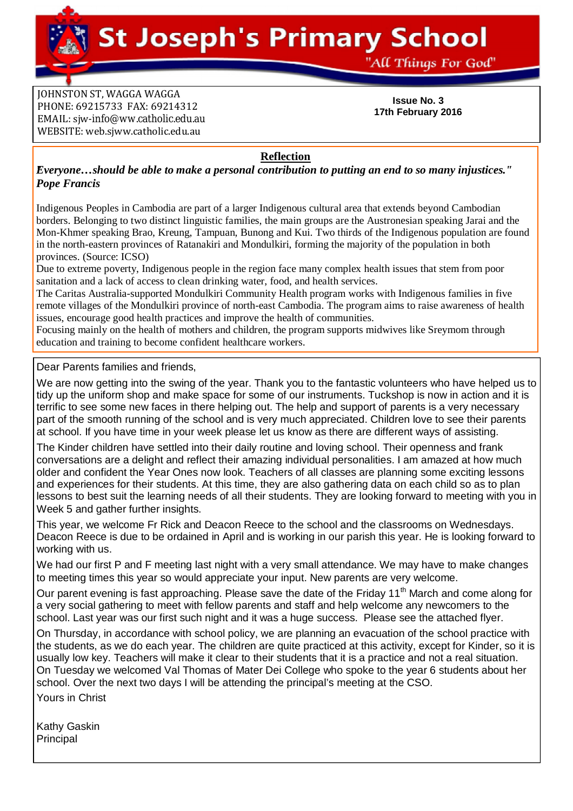**St Joseph's Primary School** 

"All Things For God"

**JOHNSTON ST, WAGGA WAGGA** PHONE: 69215733 FAX: 69214312 EMAIL: siw[-info@ww.catholic.edu.au](mailto:-info@ww.catholic.edu.au) WEBSITE: web.sjww.catholic.edu.au

**Issue No. 3 17th February 2016**

**Reflection**

*"Everyone…should be able to make a personal contribution to putting an end to so many injustices." Pope Francis*

Indigenous Peoples in Cambodia are part of a larger Indigenous cultural area that extends beyond Cambodian borders. Belonging to two distinct linguistic families, the main groups are the Austronesian speaking Jarai and the Mon-Khmer speaking Brao, Kreung, Tampuan, Bunong and Kui. Two thirds of the Indigenous population are found in the north-eastern provinces of Ratanakiri and Mondulkiri, forming the majority of the population in both provinces. (Source: ICSO)

Due to extreme poverty, Indigenous people in the region face many complex health issues that stem from poor sanitation and a lack of access to clean drinking water, food, and health services.

The Caritas Australia-supported Mondulkiri Community Health program works with Indigenous families in five remote villages of the Mondulkiri province of north-east Cambodia. The program aims to raise awareness of health issues, encourage good health practices and improve the health of communities.

Focusing mainly on the health of mothers and children, the program supports midwives like Sreymom through education and training to become confident healthcare workers.

Dear Parents families and friends,

We are now getting into the swing of the year. Thank you to the fantastic volunteers who have helped us to tidy up the uniform shop and make space for some of our instruments. Tuckshop is now in action and it is terrific to see some new faces in there helping out. The help and support of parents is a very necessary part of the smooth running of the school and is very much appreciated. Children love to see their parents at school. If you have time in your week please let us know as there are different ways of assisting.

The Kinder children have settled into their daily routine and loving school. Their openness and frank conversations are a delight and reflect their amazing individual personalities. I am amazed at how much older and confident the Year Ones now look. Teachers of all classes are planning some exciting lessons and experiences for their students. At this time, they are also gathering data on each child so as to plan lessons to best suit the learning needs of all their students. They are looking forward to meeting with you in Week 5 and gather further insights.

This year, we welcome Fr Rick and Deacon Reece to the school and the classrooms on Wednesdays. Deacon Reece is due to be ordained in April and is working in our parish this year. He is looking forward to working with us.

We had our first P and F meeting last night with a very small attendance. We may have to make changes to meeting times this year so would appreciate your input. New parents are very welcome.

Our parent evening is fast approaching. Please save the date of the Friday 11<sup>th</sup> March and come along for a very social gathering to meet with fellow parents and staff and help welcome any newcomers to the school. Last year was our first such night and it was a huge success. Please see the attached flyer.

On Thursday, in accordance with school policy, we are planning an evacuation of the school practice with the students, as we do each year. The children are quite practiced at this activity, except for Kinder, so it is usually low key. Teachers will make it clear to their students that it is a practice and not a real situation. On Tuesday we welcomed Val Thomas of Mater Dei College who spoke to the year 6 students about her school. Over the next two days I will be attending the principal's meeting at the CSO.

Yours in Christ

Kathy Gaskin Principal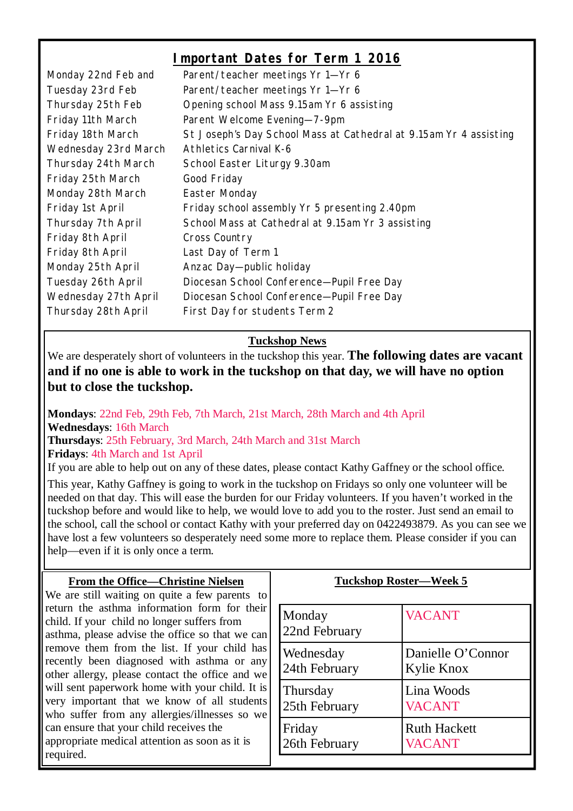### **Important Dates for Term 1 2016**

| Monday 22nd Feb and  | Parent/teacher meetings Yr 1-Yr 6                                 |
|----------------------|-------------------------------------------------------------------|
| Tuesday 23rd Feb     | Parent/teacher meetings Yr 1-Yr 6                                 |
| Thursday 25th Feb    | Opening school Mass 9.15am Yr 6 assisting                         |
| Friday 11th March    | Parent Welcome Evening-7-9pm                                      |
| Friday 18th March    | St Joseph's Day School Mass at Cathedral at 9.15am Yr 4 assisting |
| Wednesday 23rd March | <b>Athletics Carnival K-6</b>                                     |
| Thursday 24th March  | School Easter Liturgy 9.30am                                      |
| Friday 25th March    | Good Friday                                                       |
| Monday 28th March    | Easter Monday                                                     |
| Friday 1st April     | Friday school assembly Yr 5 presenting 2.40pm                     |
| Thursday 7th April   | School Mass at Cathedral at 9.15am Yr 3 assisting                 |
| Friday 8th April     | Cross Country                                                     |
| Friday 8th April     | Last Day of Term 1                                                |
| Monday 25th April    | Anzac Day-public holiday                                          |
| Tuesday 26th April   | Diocesan School Conference-Pupil Free Day                         |
| Wednesday 27th April | Diocesan School Conference-Pupil Free Day                         |
| Thursday 28th April  | First Day for students Term 2                                     |

#### **Tuckshop News**

We are desperately short of volunteers in the tuckshop this year. **The following dates are vacant and if no one is able to work in the tuckshop on that day, we will have no option but to close the tuckshop.** 

**Mondays**: 22nd Feb, 29th Feb, 7th March, 21st March, 28th March and 4th April **Wednesdays**: 16th March **Thursdays**: 25th February, 3rd March, 24th March and 31st March **Fridays**: 4th March and 1st April

If you are able to help out on any of these dates, please contact Kathy Gaffney or the school office.

This year, Kathy Gaffney is going to work in the tuckshop on Fridays so only one volunteer will be needed on that day. This will ease the burden for our Friday volunteers. If you haven't worked in the tuckshop before and would like to help, we would love to add you to the roster. Just send an email to the school, call the school or contact Kathy with your preferred day on 0422493879. As you can see we have lost a few volunteers so desperately need some more to replace them. Please consider if you can help—even if it is only once a term.

#### **From the Office—Christine Nielsen**

We are still waiting on quite a few parents to return the asthma information form for their child. If your child no longer suffers from asthma, please advise the office so that we can remove them from the list. If your child has recently been diagnosed with asthma or any other allergy, please contact the office and we will sent paperwork home with your child. It is very important that we know of all students who suffer from any allergies/illnesses so we can ensure that your child receives the appropriate medical attention as soon as it is required.

#### **Tuckshop Roster—Week 5**

| Monday<br>22nd February | <b>VACANT</b>       |
|-------------------------|---------------------|
| Wednesday               | Danielle O'Connor   |
| 24th February           | Kylie Knox          |
| Thursday                | Lina Woods          |
| 25th February           | <b>VACANT</b>       |
| Friday                  | <b>Ruth Hackett</b> |
| 26th February           | <b>VACANT</b>       |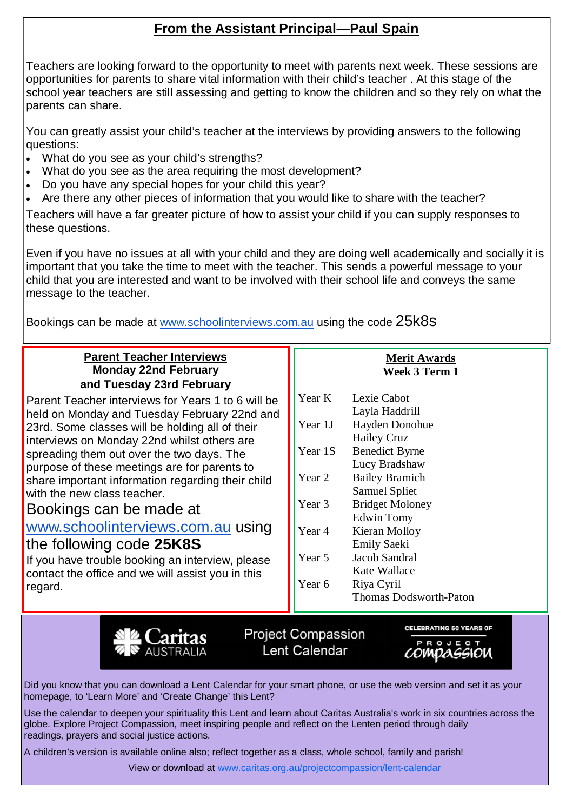# **From the Assistant Principal—Paul Spain**

Teachers are looking forward to the opportunity to meet with parents next week. These sessions are opportunities for parents to share vital information with their child's teacher . At this stage of the school year teachers are still assessing and getting to know the children and so they rely on what the parents can share.

You can greatly assist your child's teacher at the interviews by providing answers to the following questions:

- What do you see as your child's strengths?
- What do you see as the area requiring the most development?
- Do you have any special hopes for your child this year?
- Are there any other pieces of information that you would like to share with the teacher?

Teachers will have a far greater picture of how to assist your child if you can supply responses to these questions.

Even if you have no issues at all with your child and they are doing well academically and socially it is important that you take the time to meet with the teacher. This sends a powerful message to your child that you are interested and want to be involved with their school life and conveys the same message to the teacher.

Bookings can be made at [www.schoolinterviews.com.au](http://www.schoolinterviews.com.au) using the code 25k8s

#### **Parent Teacher Interviews Monday 22nd February and Tuesday 23rd February**

Parent Teacher interviews for Years 1 to 6 will be held on Monday and Tuesday February 22nd and 23rd. Some classes will be holding all of their interviews on Monday 22nd whilst others are spreading them out over the two days. The purpose of these meetings are for parents to share important information regarding their child with the new class teacher.

#### Bookings can be made at

### [www.schoolinterviews.com.au](http://www.schoolinterviews.com.au) using the following code **25K8S**

If you have trouble booking an interview, please contact the office and we will assist you in this regard.

#### **Merit Awards Week 3 Term 1**

| Year K  | Lexie Cabot            |
|---------|------------------------|
|         | Layla Haddrill         |
| Year 1J | Hayden Donohue         |
|         | <b>Hailey Cruz</b>     |
| Year 1S | <b>Benedict Byrne</b>  |
|         | Lucy Bradshaw          |
| Year 2  | <b>Bailey Bramich</b>  |
|         | <b>Samuel Spliet</b>   |
| Year 3  | <b>Bridget Moloney</b> |
|         | Edwin Tomy             |
| Year 4  | Kieran Molloy          |
|         | <b>Emily Saeki</b>     |
| Year 5  | <b>Jacob Sandral</b>   |
|         | Kate Wallace           |
| Year 6  | Riya Cyril             |
|         | Thomas Dodsworth-Paton |
|         |                        |



Project Compassion Lent Calendar

**CELEBRATING 50 YEARS OF** 

*compaggion* 

Did you know that you can download a Lent Calendar for your smart phone, or use the web version and set it as your homepage, to 'Learn More' and 'Create Change' this Lent?

Use the calendar to deepen your spirituality this Lent and learn about Caritas Australia's work in six countries across the globe. Explore Project Compassion, meet inspiring people and reflect on the Lenten period through daily readings, prayers and social justice actions.

A children's version is available online also; reflect together as a class, whole school, family and parish!

View or download at [www.caritas.org.au/projectcompassion/lent-calendar](http://www.caritas.org.au/projectcompassion/lent-calendar)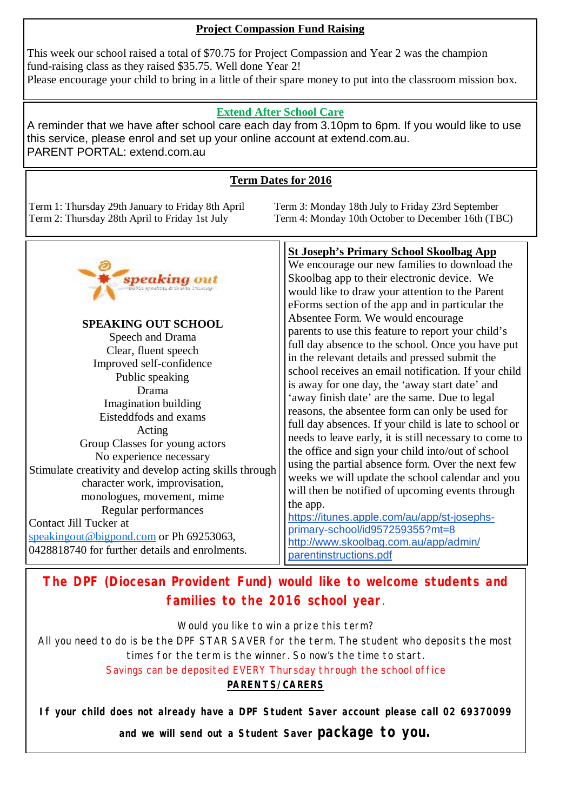#### **Project Compassion Fund Raising**

This week our school raised a total of \$70.75 for Project Compassion and Year 2 was the champion fund-raising class as they raised \$35.75. Well done Year 2! Please encourage your child to bring in a little of their spare money to put into the classroom mission box.

#### **Extend After School Care**

A reminder that we have after school care each day from 3.10pm to 6pm. If you would like to use this service, please enrol and set up your online account at extend.com.au. PARENT PORTAL: extend.com.au

#### **Term Dates for 2016**

Term 1: Thursday 29th January to Friday 8th April Term 3: Monday 18th July to Friday 23rd September

Term 4: Monday 10th October to December 16th (TBC)



# **The DPF (Diocesan Provident Fund) would like to welcome students and families to the 2016 school year**.

Would you like to win a prize this term?

All you need to do is be the DPF STAR SAVER for the term. The student who deposits the most times for the term is the winner. So now's the time to start. Savings can be deposited EVERY Thursday through the school office

#### *PARENTS/CARERS*

**If your child does not already have a DPF Student Saver account please call 02 69370099** 

**and we will send out a Student Saver package to you.**